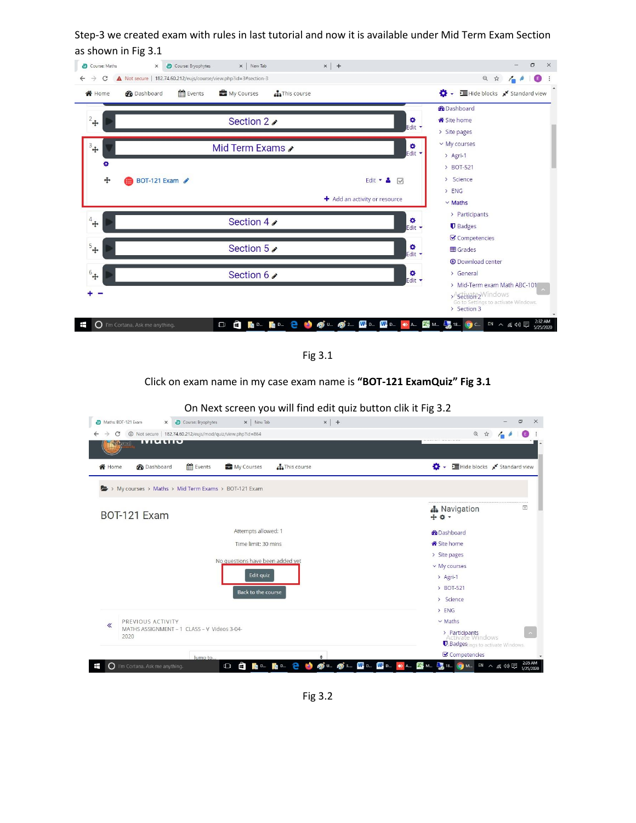Step-3 we created exam with rules in last tutorial and now it is available under Mid Term Exam Section as shown in Fig 3.1

| A Not secure   182.74.60.212/eujs/course/view.php?id=3#section-3<br>$\rightarrow$<br>C<br><b>Events</b><br>N Home<br><b>Dashboard</b> |                                    |                                                           | $\mathbb{Q}$<br>$\bigcirc$<br>☆                            |
|---------------------------------------------------------------------------------------------------------------------------------------|------------------------------------|-----------------------------------------------------------|------------------------------------------------------------|
|                                                                                                                                       |                                    |                                                           |                                                            |
|                                                                                                                                       | My Courses<br><b>A</b> This course |                                                           | Standard view                                              |
|                                                                                                                                       |                                    |                                                           | <b>B</b> Dashboard                                         |
| $2^4$                                                                                                                                 | Section 2                          | ۰<br>Edit $-$                                             | Site home                                                  |
|                                                                                                                                       |                                    |                                                           | > Site pages                                               |
| $3\frac{1}{4}$                                                                                                                        | Mid Term Exams                     | ۰<br>Edit $\overline{ }$                                  | $\vee$ My courses                                          |
| $\bullet$                                                                                                                             |                                    |                                                           | > Agri-1<br>> BOT-521                                      |
| $+$<br>BOT-121 Exam /                                                                                                                 |                                    | Edit $\bullet$ &<br>$\triangledown$                       | > Science                                                  |
|                                                                                                                                       |                                    |                                                           | $>$ ENG                                                    |
|                                                                                                                                       |                                    | + Add an activity or resource                             | $\times$ Maths                                             |
|                                                                                                                                       |                                    | ۰                                                         | > Participants                                             |
| $4 +$                                                                                                                                 | Section 4                          | $Fdir -$                                                  | <b>U</b> Badges                                            |
|                                                                                                                                       |                                    |                                                           | Competencies                                               |
| $5 +$                                                                                                                                 | Section 5                          | ۰<br>Edit -                                               | <b>田</b> Grades                                            |
|                                                                                                                                       |                                    |                                                           | <b>O</b> Download center                                   |
| $^{6}+$                                                                                                                               | Section 6                          | ۰<br>Edit -                                               | > General<br>> Mid-Term exam Math ABC-101                  |
|                                                                                                                                       |                                    |                                                           | >Astitialie2Windows                                        |
|                                                                                                                                       |                                    |                                                           | Go to Settings to activate Windows.<br>> Section 3         |
| $\Omega$ I'm Cortana. Ask me anything.                                                                                                | m<br>e<br>$\Box$<br><b>D.</b> BD.  | @ U. @ 2. W D. W D.<br>$\leftrightarrow$ A<br><b>Call</b> | 2:32 AM<br><b>X</b> M 4 18<br><b>O</b> C.<br>EN へ G (1) (同 |

Fig 3.1

Click on exam name in my case exam name is **"BOT-121 ExamQuiz" Fig 3.1**

| 182.74.60.212/eujs/mod/quiz/view.php?id=864<br>C                                  |                     | ◎ ☆                                                       | O |
|-----------------------------------------------------------------------------------|---------------------|-----------------------------------------------------------|---|
| шенго<br><b>Otemal</b>                                                            |                     |                                                           |   |
| Events<br>Home<br><b>B</b> Dashboard<br>My Courses<br><b>A</b> This course        |                     | $\bullet$ $\bullet$ E Hide blocks $\bullet$ Standard view |   |
| > My courses > Maths > Mid Term Exams > BOT-121 Exam                              |                     |                                                           |   |
| BOT-121 Exam                                                                      |                     | <b>A</b> Navigation<br>+ * *                              | ⊟ |
| Attempts allowed: 1<br>Time limit: 30 mins<br>No questions have been added yet    |                     | <b>B</b> Dashboard                                        |   |
|                                                                                   |                     | Site home                                                 |   |
|                                                                                   |                     | > Site pages                                              |   |
|                                                                                   | $\times$ My courses |                                                           |   |
| Edit quiz                                                                         | > Agri-1            |                                                           |   |
| Back to the course                                                                | > BOT-521           |                                                           |   |
|                                                                                   |                     | > Science                                                 |   |
| PREVIOUS ACTIVITY<br>$\ll$<br>MATHS ASSIGNMENT - 1 CLASS - V Videos 3-04-<br>2020 |                     | $\geq$ ENG                                                |   |
|                                                                                   |                     | $\vee$ Maths                                              |   |
|                                                                                   |                     | > Participants<br>Activate Windows                        |   |
|                                                                                   |                     | U <sub>5</sub> Badgestings to activate Windows.           |   |
| lump to.                                                                          |                     | ■ Competencies                                            |   |

On Next screen you will find edit quiz button clik it Fig 3.2

Fig 3.2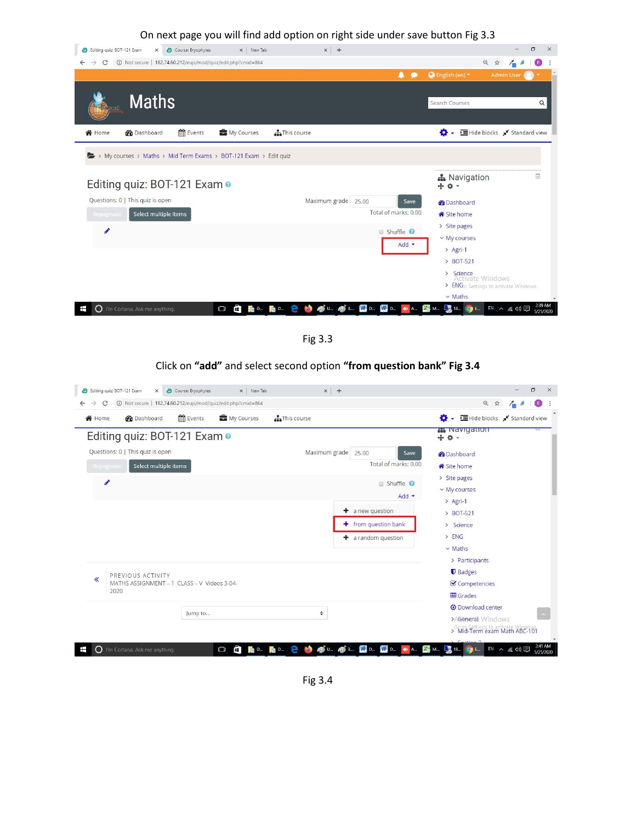## On next page you will find add option on right side under save button Fig 3.3



Fig 3.3

## Click on **"add"** and select second option **"from question bank" Fig 3.4**



Fig 3.4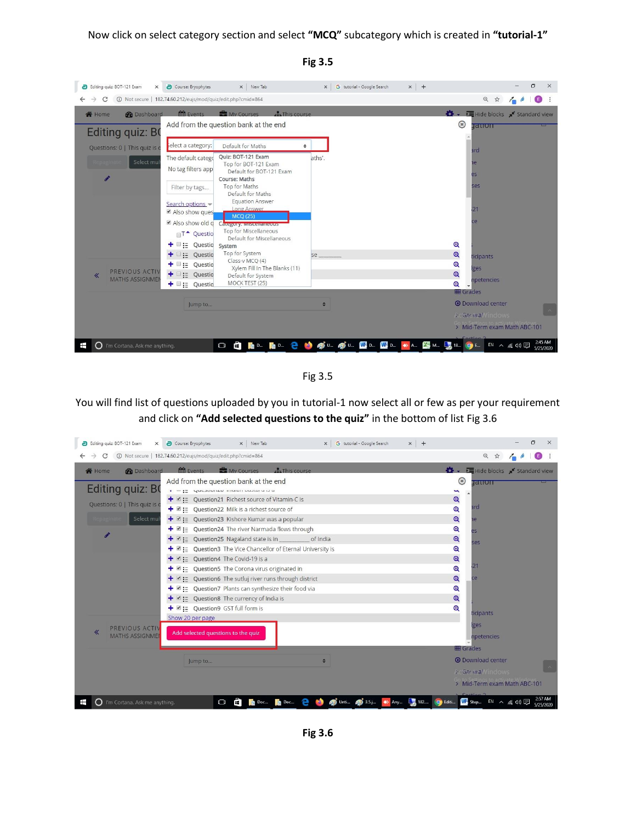

Fig 3.5

You will find list of questions uploaded by you in tutorial-1 now select all or few as per your requirement and click on **"Add selected questions to the quiz"** in the bottom of list Fig 3.6

| X New Tab<br>G tutorial - Google Search<br>$x +$<br>Editing quiz: BOT-121 Exam<br>Course: Bryophytes<br>$\times$                                                                                                                                                                                                                                                                                                                                                                                                                                                                                                                                                                                                                                                                                                                                                                           | $\times$                                                                                                                                                                                                                                                                                                                  |
|--------------------------------------------------------------------------------------------------------------------------------------------------------------------------------------------------------------------------------------------------------------------------------------------------------------------------------------------------------------------------------------------------------------------------------------------------------------------------------------------------------------------------------------------------------------------------------------------------------------------------------------------------------------------------------------------------------------------------------------------------------------------------------------------------------------------------------------------------------------------------------------------|---------------------------------------------------------------------------------------------------------------------------------------------------------------------------------------------------------------------------------------------------------------------------------------------------------------------------|
| 182.74.60.212/eujs/mod/quiz/edit.php?cmid=864<br>$\rightarrow$<br>C                                                                                                                                                                                                                                                                                                                                                                                                                                                                                                                                                                                                                                                                                                                                                                                                                        | $\mathbb{Q}$<br>☆                                                                                                                                                                                                                                                                                                         |
| My Courses<br>Events<br><b>A</b> This course<br><b>Dashboard</b><br><b>谷</b> Home                                                                                                                                                                                                                                                                                                                                                                                                                                                                                                                                                                                                                                                                                                                                                                                                          | $\bullet$ $\bullet$ <b>E</b> Hide blocks $\bullet$ Standard view                                                                                                                                                                                                                                                          |
| Add from the question bank at the end<br>Editing quiz: BO<br>$\frac{1}{1}$ = $\frac{1}{12}$ Questional manufacture of a<br>$\div$ $\in$ := Question21 Richest source of Vitamin-C is<br>Questions: 0   This quiz is c<br>$\div$ $\mathbb{F}$ := Ouestion22 Milk is a richest source of<br>Select mult<br>Question23 Kishore Kumar was a popular<br>$+$ $\in$ :=<br>Question24 The river Narmada flows through<br>$+$ $=$<br>Question3 The Vice Chancellor of Eternal University is<br>$+$ $\in$ :=<br>Question4 The Covid-19 is a<br>$+$ $\vee$<br>$:=$<br>$+$ $\in$ :=<br>Question5 The Corona virus originated in<br>: Question6 The sutluj river runs through district<br>$+$ $\vee$<br>Question7 Plants can synthesize their food via<br>$+$ $\in$ :=<br>$\div$ $\subseteq$ := Question8 The currency of India is<br>$\div$ <b>e</b> := Question9 GST full form is<br>Show 20 per page | ⊛<br>गवराणा<br>$\mathbf{\Theta}$<br>ard<br>$\mathbf{\Theta}$<br>$\mathbf{\Theta}$<br>e<br>$\mathbf{\Theta}$<br>es<br>$\mathbf{\Theta}$<br>ses<br>$\mathbf{\Theta}$<br>$\mathbf{\Theta}$<br>21<br>$\mathbf{\Theta}$<br>$\mathbf{\Theta}$<br>ce<br>$\mathbf{\Theta}$<br>$\mathbf{\Omega}$<br>$\mathbf{\Theta}$<br>ticipants |
| PREVIOUS ACTIV<br>∢<br>Add selected questions to the quiz<br><b>MATHS ASSIGNMED</b><br>lump to<br>٥                                                                                                                                                                                                                                                                                                                                                                                                                                                                                                                                                                                                                                                                                                                                                                                        | ges<br>npetencies<br>田 Grades<br><b>O</b> Download center<br><b>AcGereraWindows</b><br>> Mid-Term exam Math ABC-101                                                                                                                                                                                                       |
| <b>49 Unti 49 3.5.j</b><br>→ Any 4 182<br>$\Omega$ I'm Cortana. Ask me anything.<br>œ.<br>Ŧ<br>$\Box$<br>图 Doc<br>图 Doc<br>e.                                                                                                                                                                                                                                                                                                                                                                                                                                                                                                                                                                                                                                                                                                                                                              | 2:57 AM<br>● Editi W Step EN へ 系 (1) □<br>5/25/2020                                                                                                                                                                                                                                                                       |

**Fig 3.5**

**Fig 3.6**